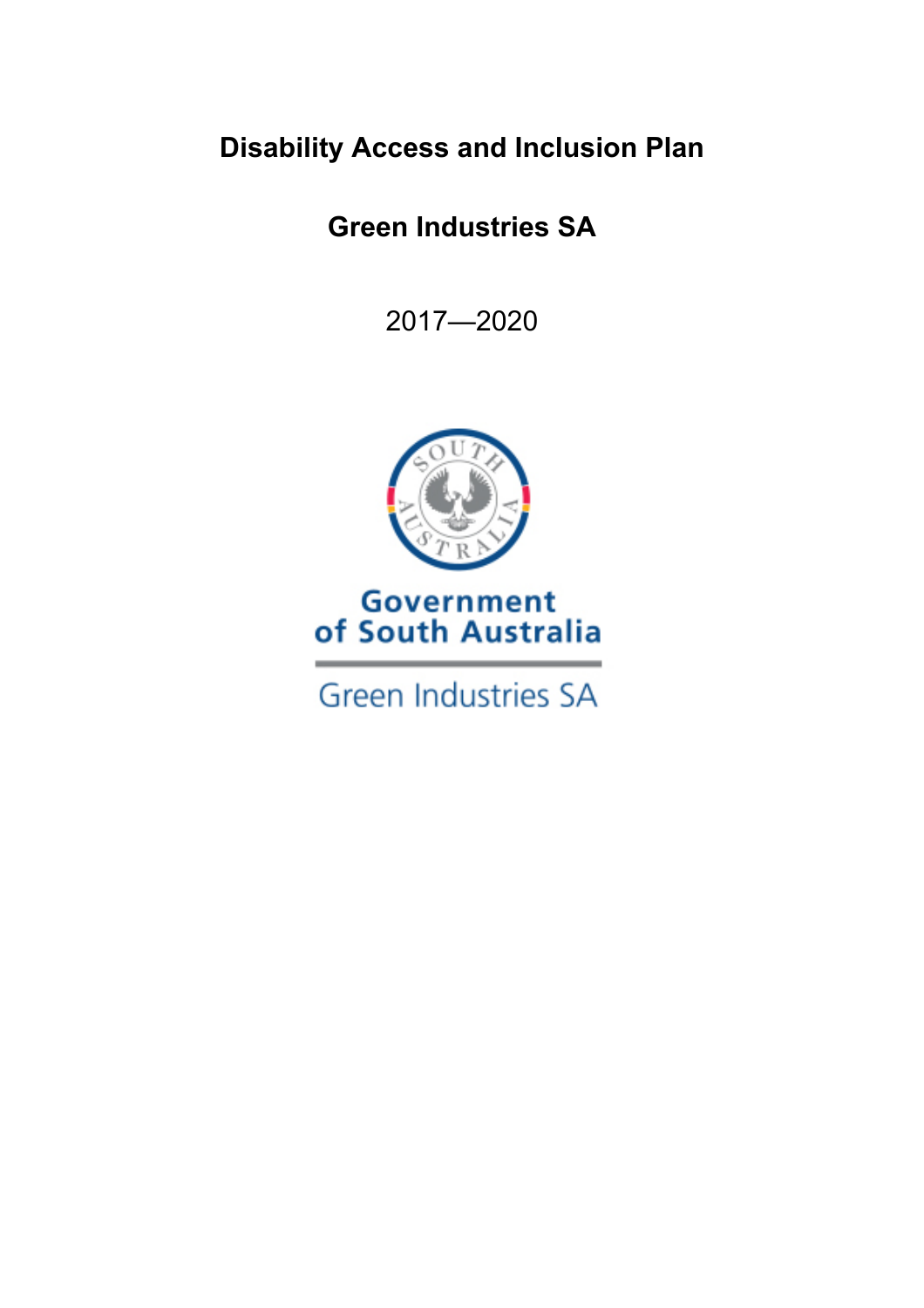## **Disability Access and Inclusion Plan**

# **Green Industries SA**

2017—2020



## **Government** of South Australia

**Green Industries SA**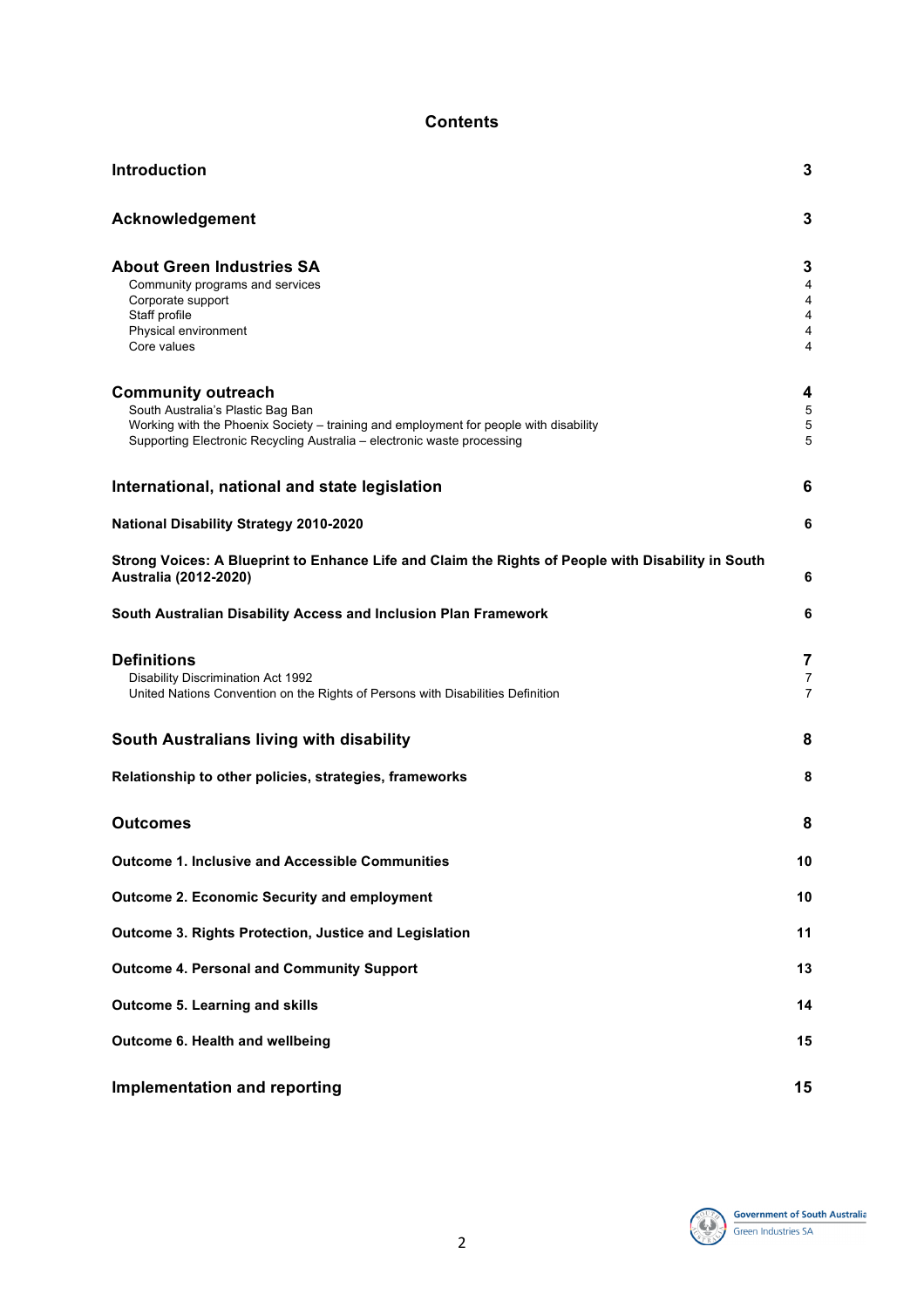#### **Contents**

| Introduction                                                                                                                | 3              |
|-----------------------------------------------------------------------------------------------------------------------------|----------------|
| Acknowledgement                                                                                                             | 3              |
| <b>About Green Industries SA</b>                                                                                            | 3              |
| Community programs and services                                                                                             | 4              |
| Corporate support                                                                                                           | 4              |
| Staff profile                                                                                                               | 4              |
| Physical environment                                                                                                        | 4              |
| Core values                                                                                                                 | 4              |
| <b>Community outreach</b>                                                                                                   | 4              |
| South Australia's Plastic Bag Ban                                                                                           | 5              |
| Working with the Phoenix Society – training and employment for people with disability                                       | 5              |
| Supporting Electronic Recycling Australia - electronic waste processing                                                     | 5              |
| International, national and state legislation                                                                               | 6              |
| <b>National Disability Strategy 2010-2020</b>                                                                               | 6              |
| Strong Voices: A Blueprint to Enhance Life and Claim the Rights of People with Disability in South<br>Australia (2012-2020) | 6              |
| South Australian Disability Access and Inclusion Plan Framework                                                             | 6              |
| <b>Definitions</b>                                                                                                          | 7              |
| Disability Discrimination Act 1992                                                                                          | $\overline{7}$ |
| United Nations Convention on the Rights of Persons with Disabilities Definition                                             | $\overline{7}$ |
| South Australians living with disability                                                                                    | 8              |
| Relationship to other policies, strategies, frameworks                                                                      | 8              |
| <b>Outcomes</b>                                                                                                             | 8              |
| <b>Outcome 1. Inclusive and Accessible Communities</b>                                                                      | 10             |
| <b>Outcome 2. Economic Security and employment</b>                                                                          | 10             |
| Outcome 3. Rights Protection, Justice and Legislation                                                                       | 11             |
| <b>Outcome 4. Personal and Community Support</b>                                                                            | 13             |
| <b>Outcome 5. Learning and skills</b>                                                                                       | 14             |
|                                                                                                                             |                |
| Outcome 6. Health and wellbeing                                                                                             | 15             |
| <b>Implementation and reporting</b>                                                                                         | 15             |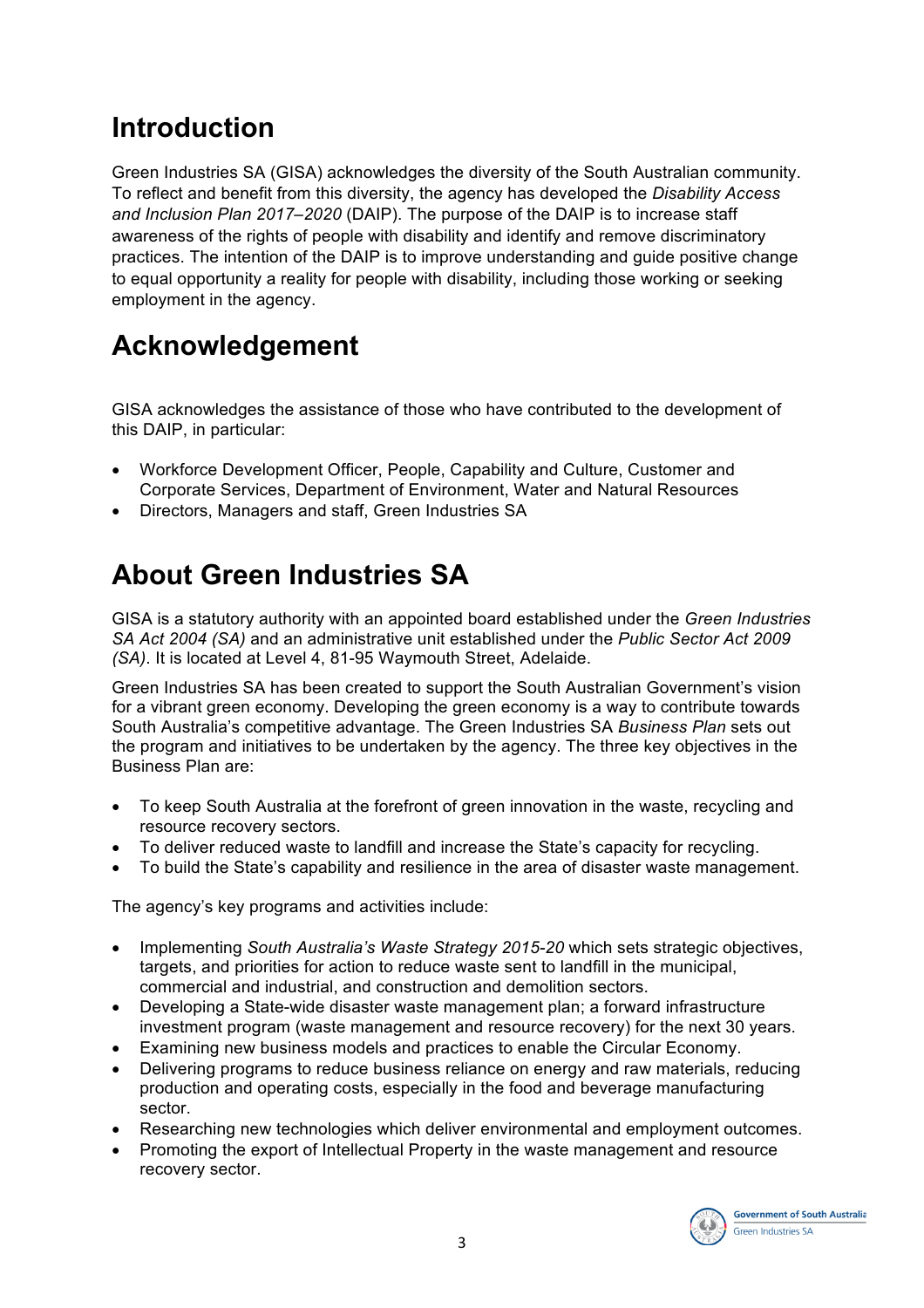## **Introduction**

Green Industries SA (GISA) acknowledges the diversity of the South Australian community. To reflect and benefit from this diversity, the agency has developed the *Disability Access and Inclusion Plan 2017–2020* (DAIP). The purpose of the DAIP is to increase staff awareness of the rights of people with disability and identify and remove discriminatory practices. The intention of the DAIP is to improve understanding and guide positive change to equal opportunity a reality for people with disability, including those working or seeking employment in the agency.

# **Acknowledgement**

GISA acknowledges the assistance of those who have contributed to the development of this DAIP, in particular:

- Workforce Development Officer, People, Capability and Culture, Customer and Corporate Services, Department of Environment, Water and Natural Resources
- Directors, Managers and staff, Green Industries SA

# **About Green Industries SA**

GISA is a statutory authority with an appointed board established under the *Green Industries SA Act 2004 (SA)* and an administrative unit established under the *Public Sector Act 2009 (SA)*. It is located at Level 4, 81-95 Waymouth Street, Adelaide.

Green Industries SA has been created to support the South Australian Government's vision for a vibrant green economy. Developing the green economy is a way to contribute towards South Australia's competitive advantage. The Green Industries SA *Business Plan* sets out the program and initiatives to be undertaken by the agency. The three key objectives in the Business Plan are:

- To keep South Australia at the forefront of green innovation in the waste, recycling and resource recovery sectors.
- To deliver reduced waste to landfill and increase the State's capacity for recycling.
- To build the State's capability and resilience in the area of disaster waste management.

The agency's key programs and activities include:

- Implementing *South Australia's Waste Strategy 2015-20* which sets strategic objectives, targets, and priorities for action to reduce waste sent to landfill in the municipal, commercial and industrial, and construction and demolition sectors.
- Developing a State-wide disaster waste management plan; a forward infrastructure investment program (waste management and resource recovery) for the next 30 years.
- Examining new business models and practices to enable the Circular Economy.
- Delivering programs to reduce business reliance on energy and raw materials, reducing production and operating costs, especially in the food and beverage manufacturing sector.
- Researching new technologies which deliver environmental and employment outcomes.
- Promoting the export of Intellectual Property in the waste management and resource recovery sector.

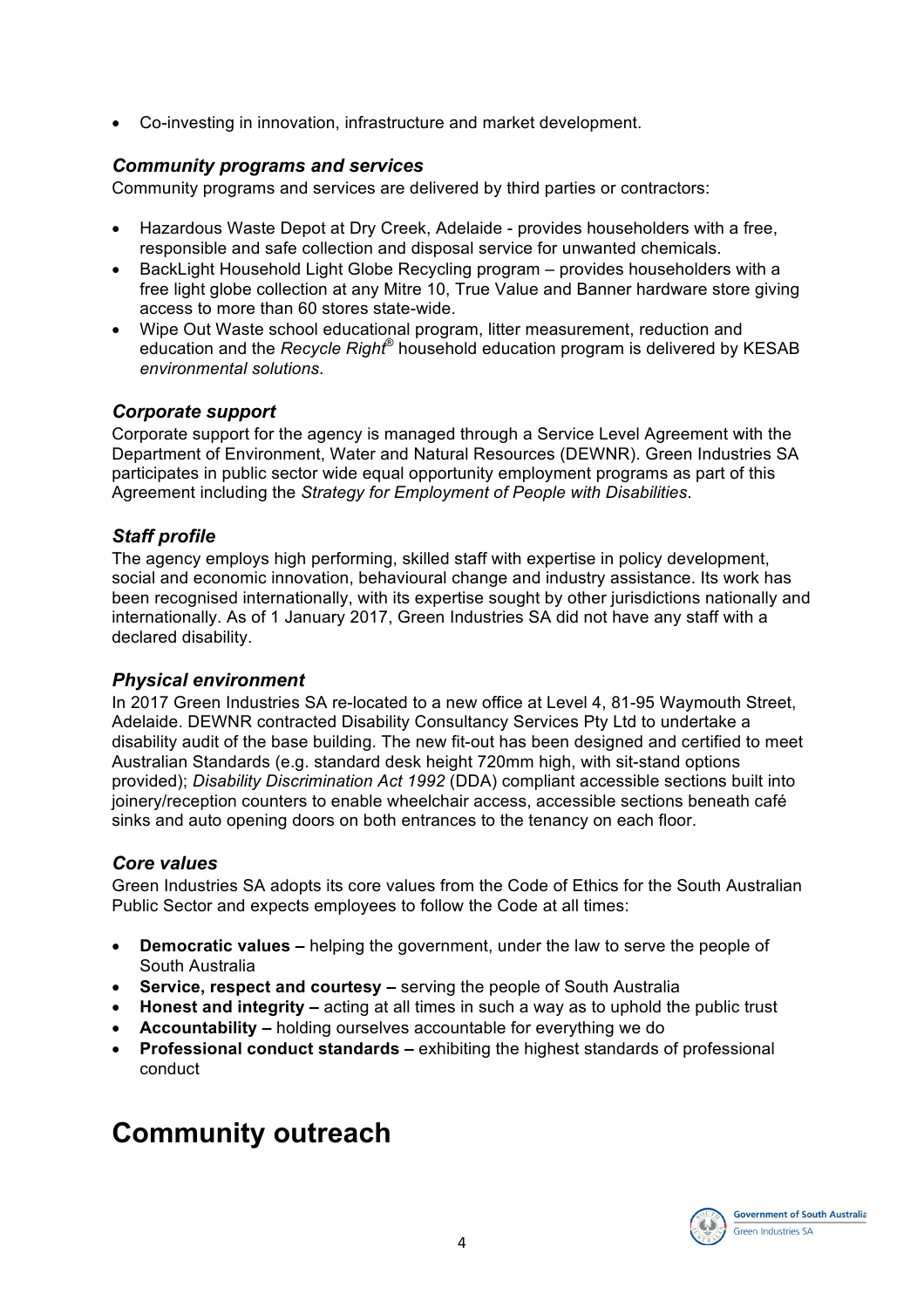• Co-investing in innovation, infrastructure and market development.

## *Community programs and services*

Community programs and services are delivered by third parties or contractors:

- Hazardous Waste Depot at Dry Creek, Adelaide provides householders with a free, responsible and safe collection and disposal service for unwanted chemicals.
- BackLight Household Light Globe Recycling program provides householders with a free light globe collection at any Mitre 10, True Value and Banner hardware store giving access to more than 60 stores state-wide.
- Wipe Out Waste school educational program, litter measurement, reduction and education and the *Recycle Right*® household education program is delivered by KESAB *environmental solutions*.

## *Corporate support*

Corporate support for the agency is managed through a Service Level Agreement with the Department of Environment, Water and Natural Resources (DEWNR). Green Industries SA participates in public sector wide equal opportunity employment programs as part of this Agreement including the *Strategy for Employment of People with Disabilities*.

## *Staff profile*

The agency employs high performing, skilled staff with expertise in policy development, social and economic innovation, behavioural change and industry assistance. Its work has been recognised internationally, with its expertise sought by other jurisdictions nationally and internationally. As of 1 January 2017, Green Industries SA did not have any staff with a declared disability.

### *Physical environment*

In 2017 Green Industries SA re-located to a new office at Level 4, 81-95 Waymouth Street, Adelaide. DEWNR contracted Disability Consultancy Services Pty Ltd to undertake a disability audit of the base building. The new fit-out has been designed and certified to meet Australian Standards (e.g. standard desk height 720mm high, with sit-stand options provided); *Disability Discrimination Act 1992* (DDA) compliant accessible sections built into joinery/reception counters to enable wheelchair access, accessible sections beneath café sinks and auto opening doors on both entrances to the tenancy on each floor.

### *Core values*

Green Industries SA adopts its core values from the Code of Ethics for the South Australian Public Sector and expects employees to follow the Code at all times:

- **Democratic values –** helping the government, under the law to serve the people of South Australia
- **Service, respect and courtesy –** serving the people of South Australia
- **Honest and integrity –** acting at all times in such a way as to uphold the public trust
- **Accountability –** holding ourselves accountable for everything we do
- **Professional conduct standards –** exhibiting the highest standards of professional conduct

## **Community outreach**

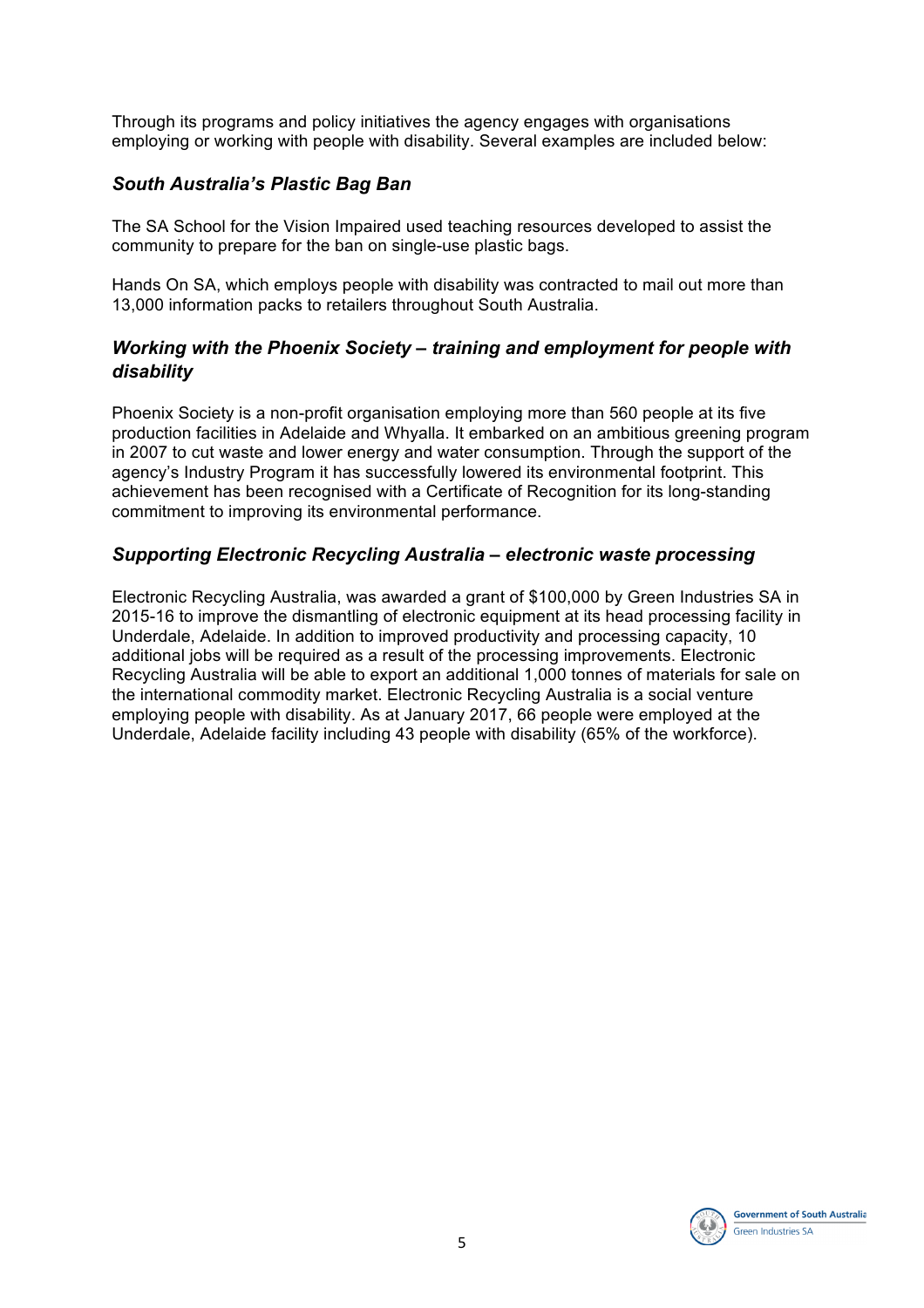Through its programs and policy initiatives the agency engages with organisations employing or working with people with disability. Several examples are included below:

## *South Australia's Plastic Bag Ban*

The SA School for the Vision Impaired used teaching resources developed to assist the community to prepare for the ban on single-use plastic bags.

Hands On SA, which employs people with disability was contracted to mail out more than 13,000 information packs to retailers throughout South Australia.

## *Working with the Phoenix Society – training and employment for people with disability*

Phoenix Society is a non-profit organisation employing more than 560 people at its five production facilities in Adelaide and Whyalla. It embarked on an ambitious greening program in 2007 to cut waste and lower energy and water consumption. Through the support of the agency's Industry Program it has successfully lowered its environmental footprint. This achievement has been recognised with a Certificate of Recognition for its long-standing commitment to improving its environmental performance.

## *Supporting Electronic Recycling Australia – electronic waste processing*

Electronic Recycling Australia, was awarded a grant of \$100,000 by Green Industries SA in 2015-16 to improve the dismantling of electronic equipment at its head processing facility in Underdale, Adelaide. In addition to improved productivity and processing capacity, 10 additional jobs will be required as a result of the processing improvements. Electronic Recycling Australia will be able to export an additional 1,000 tonnes of materials for sale on the international commodity market. Electronic Recycling Australia is a social venture employing people with disability. As at January 2017, 66 people were employed at the Underdale, Adelaide facility including 43 people with disability (65% of the workforce).

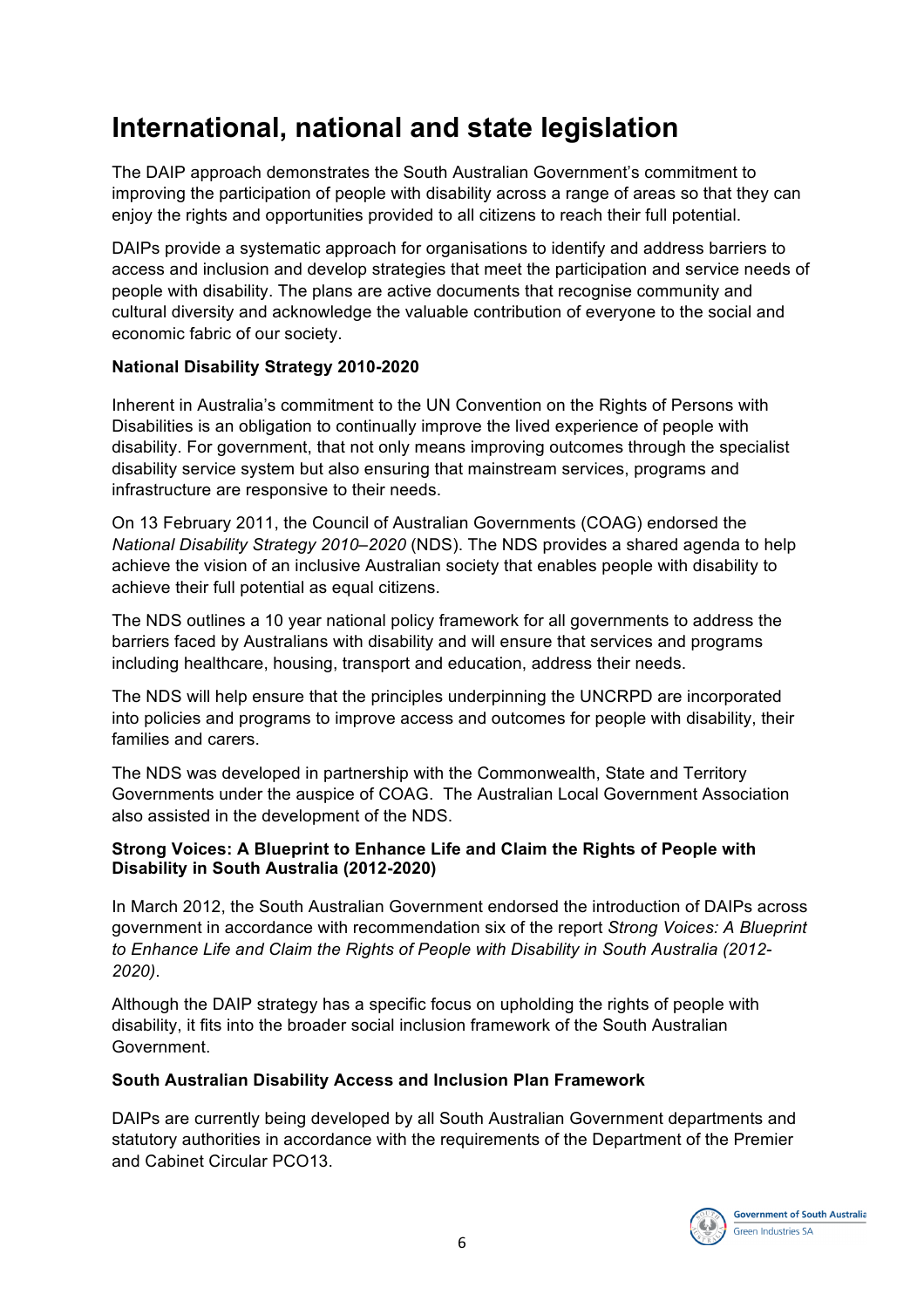## **International, national and state legislation**

The DAIP approach demonstrates the South Australian Government's commitment to improving the participation of people with disability across a range of areas so that they can enjoy the rights and opportunities provided to all citizens to reach their full potential.

DAIPs provide a systematic approach for organisations to identify and address barriers to access and inclusion and develop strategies that meet the participation and service needs of people with disability. The plans are active documents that recognise community and cultural diversity and acknowledge the valuable contribution of everyone to the social and economic fabric of our society.

## **National Disability Strategy 2010-2020**

Inherent in Australia's commitment to the UN Convention on the Rights of Persons with Disabilities is an obligation to continually improve the lived experience of people with disability. For government, that not only means improving outcomes through the specialist disability service system but also ensuring that mainstream services, programs and infrastructure are responsive to their needs.

On 13 February 2011, the Council of Australian Governments (COAG) endorsed the *National Disability Strategy 2010–2020* (NDS). The NDS provides a shared agenda to help achieve the vision of an inclusive Australian society that enables people with disability to achieve their full potential as equal citizens.

The NDS outlines a 10 year national policy framework for all governments to address the barriers faced by Australians with disability and will ensure that services and programs including healthcare, housing, transport and education, address their needs.

The NDS will help ensure that the principles underpinning the UNCRPD are incorporated into policies and programs to improve access and outcomes for people with disability, their families and carers.

The NDS was developed in partnership with the Commonwealth, State and Territory Governments under the auspice of COAG. The Australian Local Government Association also assisted in the development of the NDS.

### **Strong Voices: A Blueprint to Enhance Life and Claim the Rights of People with Disability in South Australia (2012-2020)**

In March 2012, the South Australian Government endorsed the introduction of DAIPs across government in accordance with recommendation six of the report *Strong Voices: A Blueprint to Enhance Life and Claim the Rights of People with Disability in South Australia (2012- 2020)*.

Although the DAIP strategy has a specific focus on upholding the rights of people with disability, it fits into the broader social inclusion framework of the South Australian Government.

### **South Australian Disability Access and Inclusion Plan Framework**

DAIPs are currently being developed by all South Australian Government departments and statutory authorities in accordance with the requirements of the Department of the Premier and Cabinet Circular PCO13.

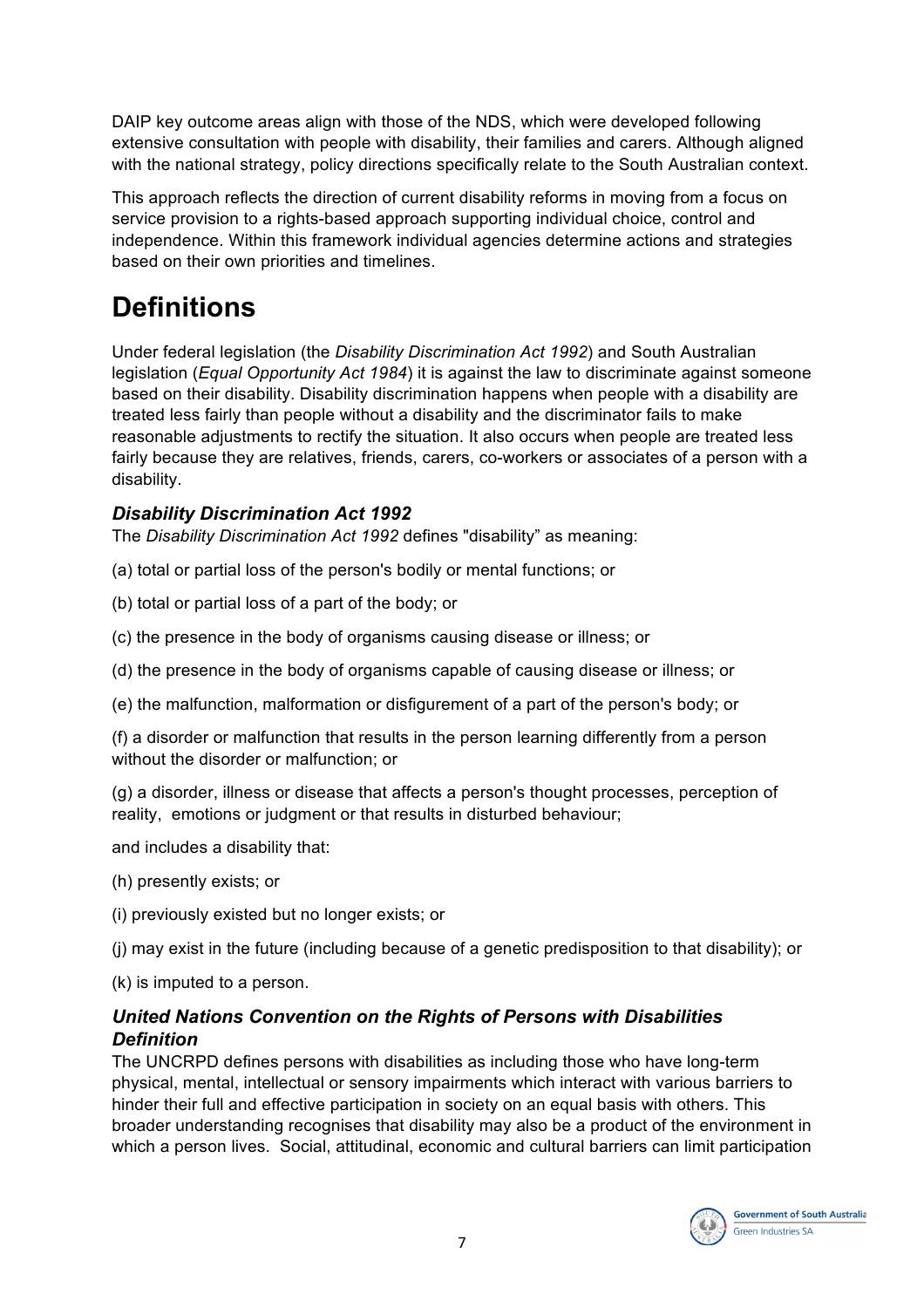DAIP key outcome areas align with those of the NDS, which were developed following extensive consultation with people with disability, their families and carers. Although aligned with the national strategy, policy directions specifically relate to the South Australian context.

This approach reflects the direction of current disability reforms in moving from a focus on service provision to a rights-based approach supporting individual choice, control and independence. Within this framework individual agencies determine actions and strategies based on their own priorities and timelines.

# **Definitions**

Under federal legislation (the *Disability Discrimination Act 1992*) and South Australian legislation (*Equal Opportunity Act 1984*) it is against the law to discriminate against someone based on their disability. Disability discrimination happens when people with a disability are treated less fairly than people without a disability and the discriminator fails to make reasonable adjustments to rectify the situation. It also occurs when people are treated less fairly because they are relatives, friends, carers, co-workers or associates of a person with a disability.

## *Disability Discrimination Act 1992*

The *Disability Discrimination Act 1992* defines "disability" as meaning:

(a) total or partial loss of the person's bodily or mental functions; or

(b) total or partial loss of a part of the body; or

(c) the presence in the body of organisms causing disease or illness; or

(d) the presence in the body of organisms capable of causing disease or illness; or

(e) the malfunction, malformation or disfigurement of a part of the person's body; or

(f) a disorder or malfunction that results in the person learning differently from a person without the disorder or malfunction; or

(g) a disorder, illness or disease that affects a person's thought processes, perception of reality, emotions or judgment or that results in disturbed behaviour;

and includes a disability that:

(h) presently exists; or

(i) previously existed but no longer exists; or

(j) may exist in the future (including because of a genetic predisposition to that disability); or

(k) is imputed to a person.

## *United Nations Convention on the Rights of Persons with Disabilities Definition*

The UNCRPD defines persons with disabilities as including those who have long-term physical, mental, intellectual or sensory impairments which interact with various barriers to hinder their full and effective participation in society on an equal basis with others. This broader understanding recognises that disability may also be a product of the environment in which a person lives. Social, attitudinal, economic and cultural barriers can limit participation

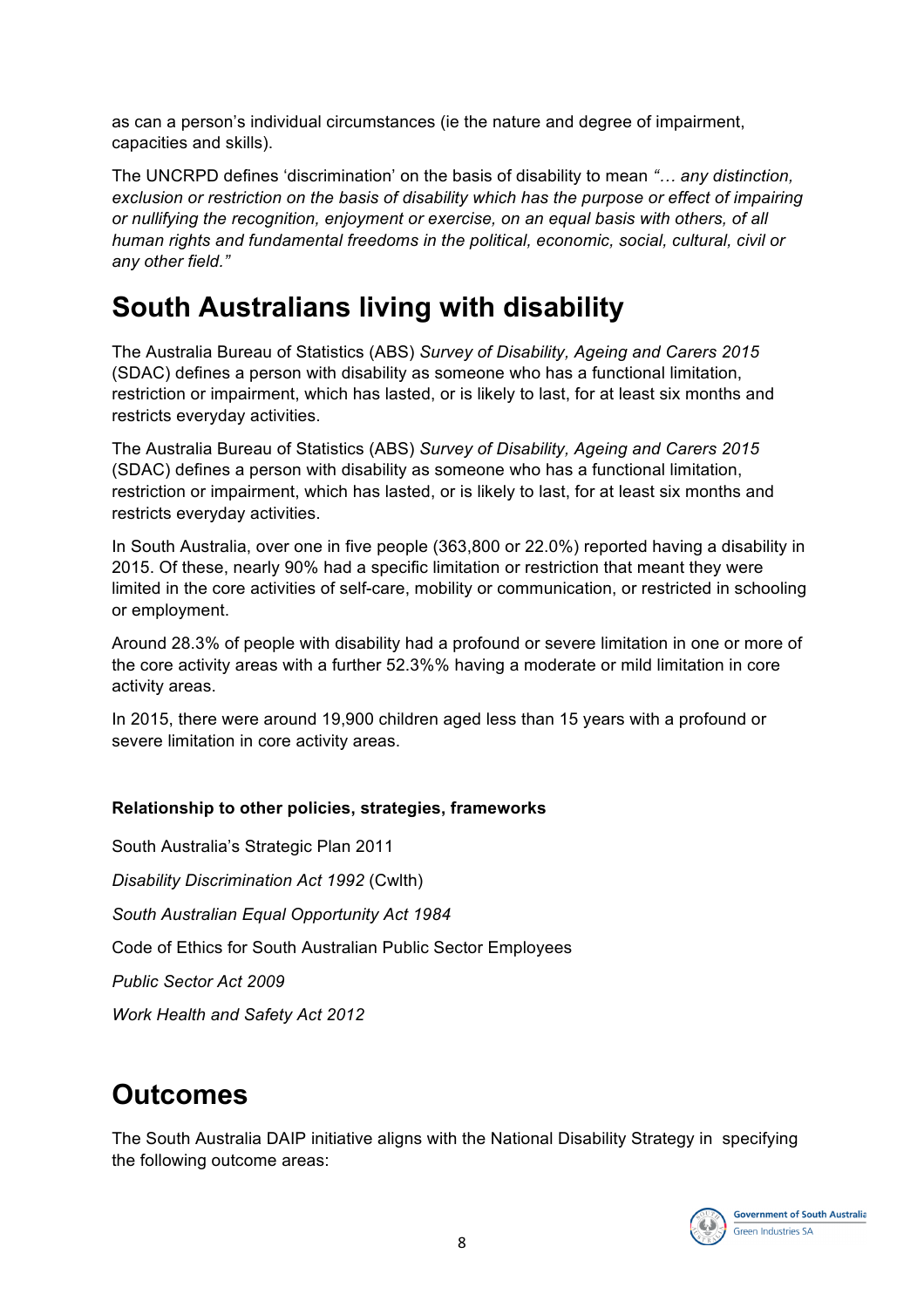as can a person's individual circumstances (ie the nature and degree of impairment, capacities and skills).

The UNCRPD defines 'discrimination' on the basis of disability to mean *"… any distinction, exclusion or restriction on the basis of disability which has the purpose or effect of impairing or nullifying the recognition, enjoyment or exercise, on an equal basis with others, of all human rights and fundamental freedoms in the political, economic, social, cultural, civil or any other field."*

## **South Australians living with disability**

The Australia Bureau of Statistics (ABS) *Survey of Disability, Ageing and Carers 2015* (SDAC) defines a person with disability as someone who has a functional limitation, restriction or impairment, which has lasted, or is likely to last, for at least six months and restricts everyday activities.

The Australia Bureau of Statistics (ABS) *Survey of Disability, Ageing and Carers 2015* (SDAC) defines a person with disability as someone who has a functional limitation, restriction or impairment, which has lasted, or is likely to last, for at least six months and restricts everyday activities.

In South Australia, over one in five people (363,800 or 22.0%) reported having a disability in 2015. Of these, nearly 90% had a specific limitation or restriction that meant they were limited in the core activities of self-care, mobility or communication, or restricted in schooling or employment.

Around 28.3% of people with disability had a profound or severe limitation in one or more of the core activity areas with a further 52.3%% having a moderate or mild limitation in core activity areas.

In 2015, there were around 19,900 children aged less than 15 years with a profound or severe limitation in core activity areas.

## **Relationship to other policies, strategies, frameworks**

South Australia's Strategic Plan 2011 *Disability Discrimination Act 1992* (Cwlth) *South Australian Equal Opportunity Act 1984* Code of Ethics for South Australian Public Sector Employees *Public Sector Act 2009 Work Health and Safety Act 2012*

## **Outcomes**

The South Australia DAIP initiative aligns with the National Disability Strategy in specifying the following outcome areas:

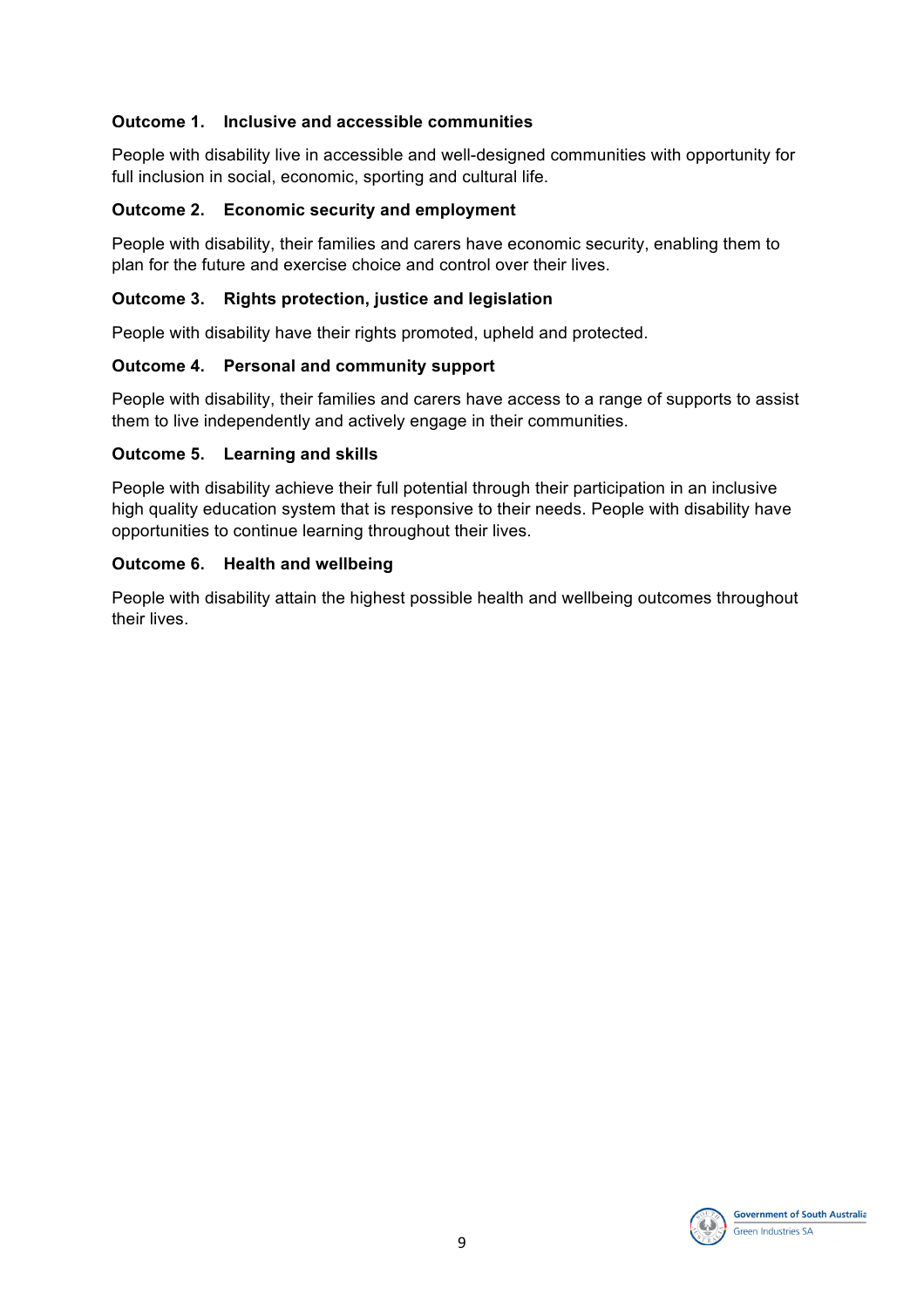### **Outcome 1. Inclusive and accessible communities**

People with disability live in accessible and well-designed communities with opportunity for full inclusion in social, economic, sporting and cultural life.

### **Outcome 2. Economic security and employment**

People with disability, their families and carers have economic security, enabling them to plan for the future and exercise choice and control over their lives.

### **Outcome 3. Rights protection, justice and legislation**

People with disability have their rights promoted, upheld and protected.

### **Outcome 4. Personal and community support**

People with disability, their families and carers have access to a range of supports to assist them to live independently and actively engage in their communities.

### **Outcome 5. Learning and skills**

People with disability achieve their full potential through their participation in an inclusive high quality education system that is responsive to their needs. People with disability have opportunities to continue learning throughout their lives.

### **Outcome 6. Health and wellbeing**

People with disability attain the highest possible health and wellbeing outcomes throughout their lives.

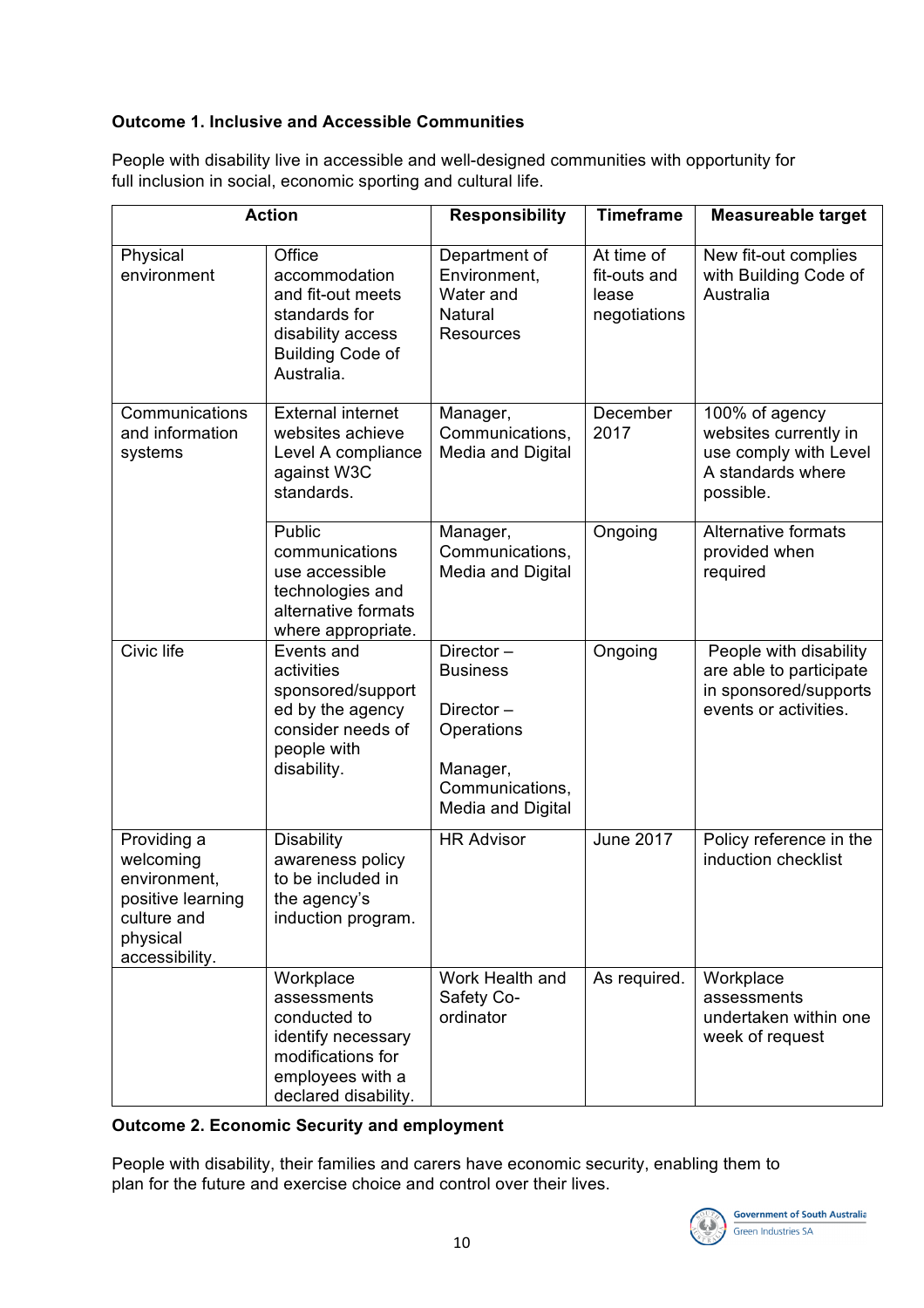## **Outcome 1. Inclusive and Accessible Communities**

|                                                                                                            | <b>Action</b>                                                                                                                   | <b>Responsibility</b>                                                                                       | <b>Timeframe</b>                                    | <b>Measureable target</b>                                                                           |
|------------------------------------------------------------------------------------------------------------|---------------------------------------------------------------------------------------------------------------------------------|-------------------------------------------------------------------------------------------------------------|-----------------------------------------------------|-----------------------------------------------------------------------------------------------------|
| Physical<br>environment                                                                                    | Office<br>accommodation<br>and fit-out meets<br>standards for<br>disability access<br><b>Building Code of</b><br>Australia.     | Department of<br>Environment,<br>Water and<br><b>Natural</b><br><b>Resources</b>                            | At time of<br>fit-outs and<br>lease<br>negotiations | New fit-out complies<br>with Building Code of<br>Australia                                          |
| Communications<br>and information<br>systems                                                               | <b>External internet</b><br>websites achieve<br>Level A compliance<br>against W3C<br>standards.                                 | Manager,<br>Communications,<br>Media and Digital                                                            | December<br>2017                                    | 100% of agency<br>websites currently in<br>use comply with Level<br>A standards where<br>possible.  |
|                                                                                                            | Public<br>communications<br>use accessible<br>technologies and<br>alternative formats<br>where appropriate.                     | Manager,<br>Communications,<br>Media and Digital                                                            | Ongoing                                             | Alternative formats<br>provided when<br>required                                                    |
| Civic life                                                                                                 | Events and<br>activities<br>sponsored/support<br>ed by the agency<br>consider needs of<br>people with<br>disability.            | Director-<br><b>Business</b><br>Director-<br>Operations<br>Manager,<br>Communications,<br>Media and Digital | Ongoing                                             | People with disability<br>are able to participate<br>in sponsored/supports<br>events or activities. |
| Providing a<br>welcoming<br>environment,<br>positive learning<br>culture and<br>physical<br>accessibility. | <b>Disability</b><br>awareness policy<br>to be included in<br>the agency's<br>induction program.                                | <b>HR Advisor</b>                                                                                           | <b>June 2017</b>                                    | Policy reference in the<br>induction checklist                                                      |
|                                                                                                            | Workplace<br>assessments<br>conducted to<br>identify necessary<br>modifications for<br>employees with a<br>declared disability. | Work Health and<br>Safety Co-<br>ordinator                                                                  | As required.                                        | Workplace<br>assessments<br>undertaken within one<br>week of request                                |

People with disability live in accessible and well-designed communities with opportunity for full inclusion in social, economic sporting and cultural life.

### **Outcome 2. Economic Security and employment**

People with disability, their families and carers have economic security, enabling them to plan for the future and exercise choice and control over their lives.

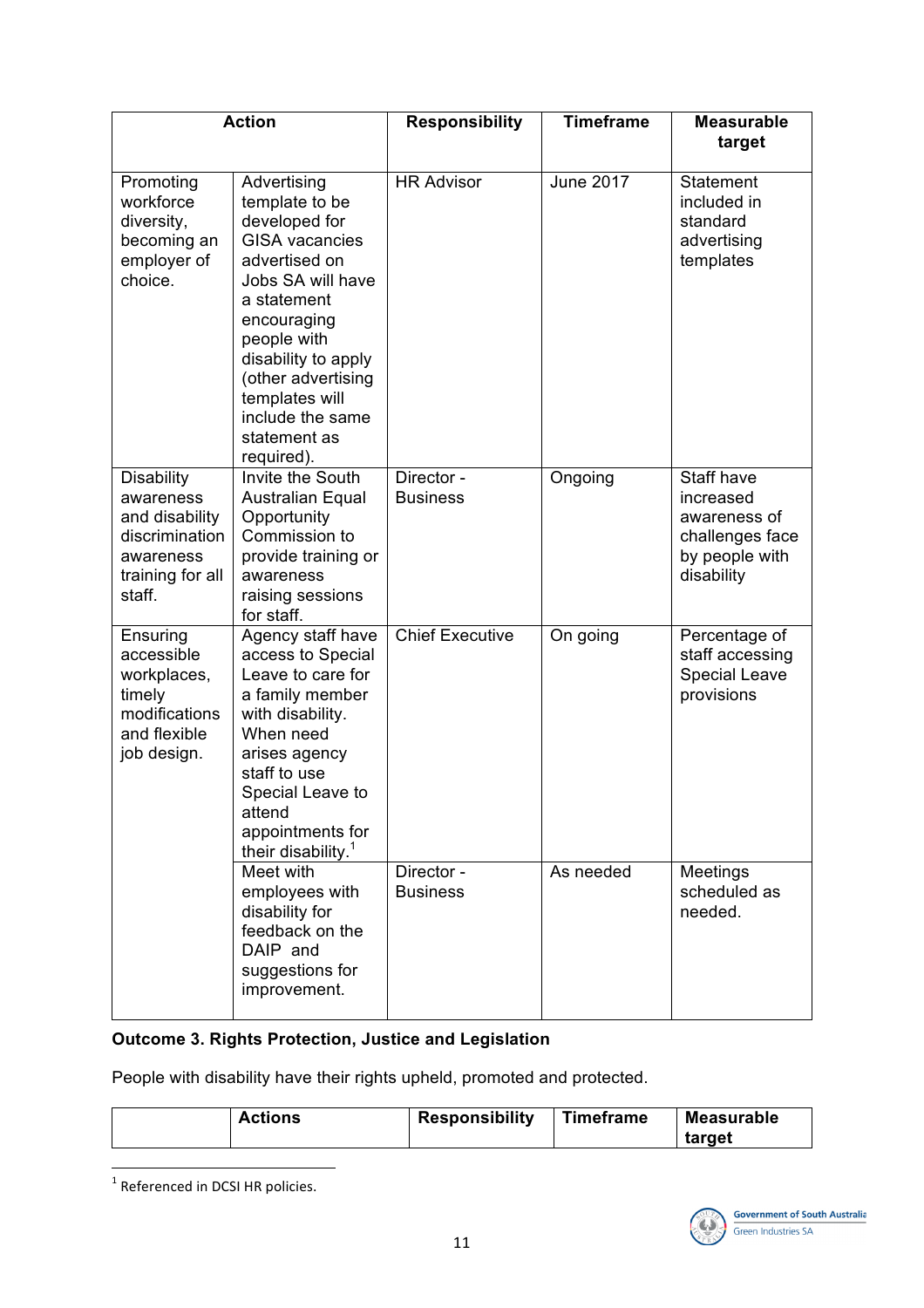|                                                                                                               | <b>Action</b>                                                                                                                                                                                                                                                               | <b>Responsibility</b>         | <b>Timeframe</b> | <b>Measurable</b><br>target                                                                |
|---------------------------------------------------------------------------------------------------------------|-----------------------------------------------------------------------------------------------------------------------------------------------------------------------------------------------------------------------------------------------------------------------------|-------------------------------|------------------|--------------------------------------------------------------------------------------------|
| Promoting<br>workforce<br>diversity,<br>becoming an<br>employer of<br>choice.                                 | Advertising<br>template to be<br>developed for<br><b>GISA</b> vacancies<br>advertised on<br>Jobs SA will have<br>a statement<br>encouraging<br>people with<br>disability to apply<br>(other advertising<br>templates will<br>include the same<br>statement as<br>required). | <b>HR Advisor</b>             | <b>June 2017</b> | <b>Statement</b><br>included in<br>standard<br>advertising<br>templates                    |
| <b>Disability</b><br>awareness<br>and disability<br>discrimination<br>awareness<br>training for all<br>staff. | Invite the South<br><b>Australian Equal</b><br>Opportunity<br>Commission to<br>provide training or<br>awareness<br>raising sessions<br>for staff.                                                                                                                           | Director -<br><b>Business</b> | Ongoing          | Staff have<br>increased<br>awareness of<br>challenges face<br>by people with<br>disability |
| Ensuring<br>accessible<br>workplaces,<br>timely<br>modifications<br>and flexible<br>job design.               | Agency staff have<br>access to Special<br>Leave to care for<br>a family member<br>with disability.<br>When need<br>arises agency<br>staff to use<br>Special Leave to<br>attend<br>appointments for<br>their disability. <sup>1</sup>                                        | <b>Chief Executive</b>        | On going         | Percentage of<br>staff accessing<br><b>Special Leave</b><br>provisions                     |
|                                                                                                               | Meet with<br>employees with<br>disability for<br>feedback on the<br>DAIP and<br>suggestions for<br>improvement.                                                                                                                                                             | Director -<br><b>Business</b> | As needed        | Meetings<br>scheduled as<br>needed.                                                        |

## **Outcome 3. Rights Protection, Justice and Legislation**

People with disability have their rights upheld, promoted and protected.

| <b>Actions</b> | <b>Responsibility</b> | Timeframe | <b>Measurable</b> |
|----------------|-----------------------|-----------|-------------------|
|                |                       |           | target            |

 $1$  Referenced in DCSI HR policies.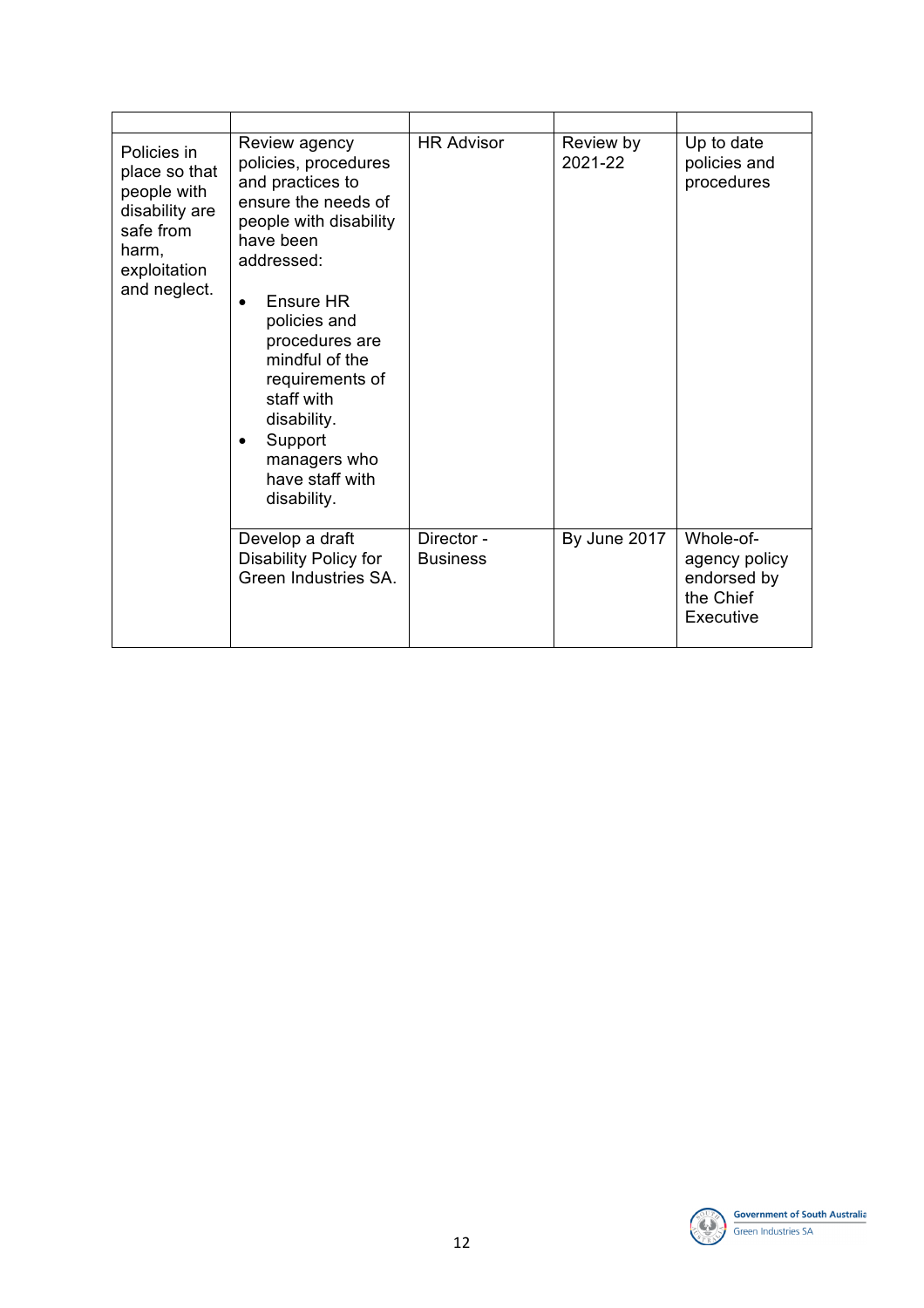| Policies in<br>place so that<br>people with<br>disability are<br>safe from<br>harm,<br>exploitation<br>and neglect. | Review agency<br>policies, procedures<br>and practices to<br>ensure the needs of<br>people with disability<br>have been<br>addressed:<br><b>Ensure HR</b><br>policies and<br>procedures are<br>mindful of the<br>requirements of<br>staff with<br>disability.<br>Support<br>managers who<br>have staff with<br>disability. | <b>HR Advisor</b>             | Review by<br>2021-22 | Up to date<br>policies and<br>procedures                            |
|---------------------------------------------------------------------------------------------------------------------|----------------------------------------------------------------------------------------------------------------------------------------------------------------------------------------------------------------------------------------------------------------------------------------------------------------------------|-------------------------------|----------------------|---------------------------------------------------------------------|
|                                                                                                                     | Develop a draft<br>Disability Policy for<br>Green Industries SA.                                                                                                                                                                                                                                                           | Director -<br><b>Business</b> | By June 2017         | Whole-of-<br>agency policy<br>endorsed by<br>the Chief<br>Executive |

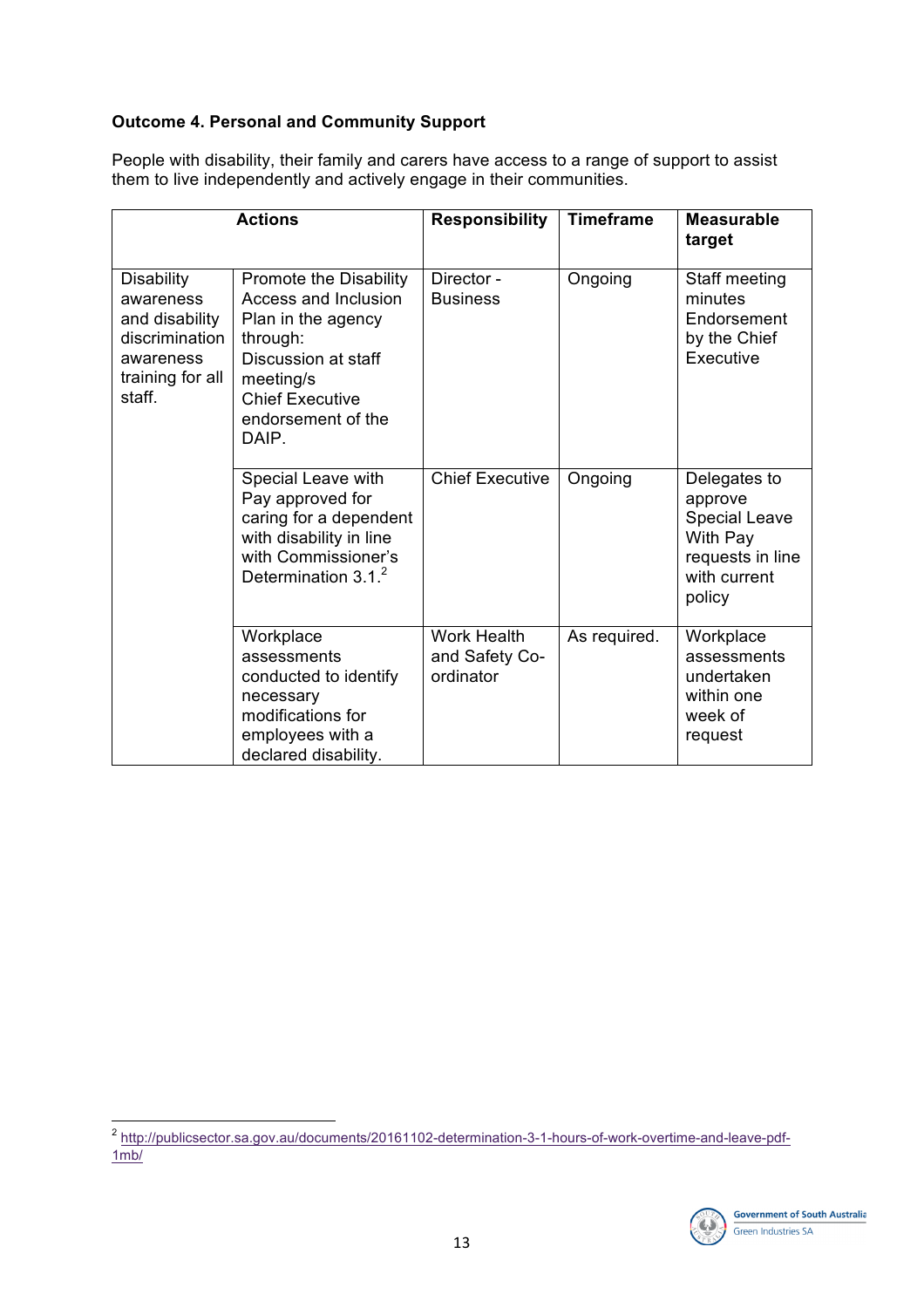## **Outcome 4. Personal and Community Support**

People with disability, their family and carers have access to a range of support to assist them to live independently and actively engage in their communities.

|                                                                                                               | <b>Actions</b>                                                                                                                                                                       | <b>Responsibility</b>                             | <b>Timeframe</b> | <b>Measurable</b><br>target                                                                               |
|---------------------------------------------------------------------------------------------------------------|--------------------------------------------------------------------------------------------------------------------------------------------------------------------------------------|---------------------------------------------------|------------------|-----------------------------------------------------------------------------------------------------------|
| <b>Disability</b><br>awareness<br>and disability<br>discrimination<br>awareness<br>training for all<br>staff. | Promote the Disability<br><b>Access and Inclusion</b><br>Plan in the agency<br>through:<br>Discussion at staff<br>meeting/s<br><b>Chief Executive</b><br>endorsement of the<br>DAIP. | Director -<br><b>Business</b>                     | Ongoing          | Staff meeting<br>minutes<br>Endorsement<br>by the Chief<br>Executive                                      |
|                                                                                                               | Special Leave with<br>Pay approved for<br>caring for a dependent<br>with disability in line<br>with Commissioner's<br>Determination $3.12$                                           | <b>Chief Executive</b>                            | Ongoing          | Delegates to<br>approve<br><b>Special Leave</b><br>With Pay<br>requests in line<br>with current<br>policy |
|                                                                                                               | Workplace<br>assessments<br>conducted to identify<br>necessary<br>modifications for<br>employees with a<br>declared disability.                                                      | <b>Work Health</b><br>and Safety Co-<br>ordinator | As required.     | Workplace<br>assessments<br>undertaken<br>within one<br>week of<br>request                                |

<sup>2&</sup>lt;br>http://publicsector.sa.gov.au/documents/20161102-determination-3-1-hours-of-work-overtime-and-leave-pdf- $1mb/$ 

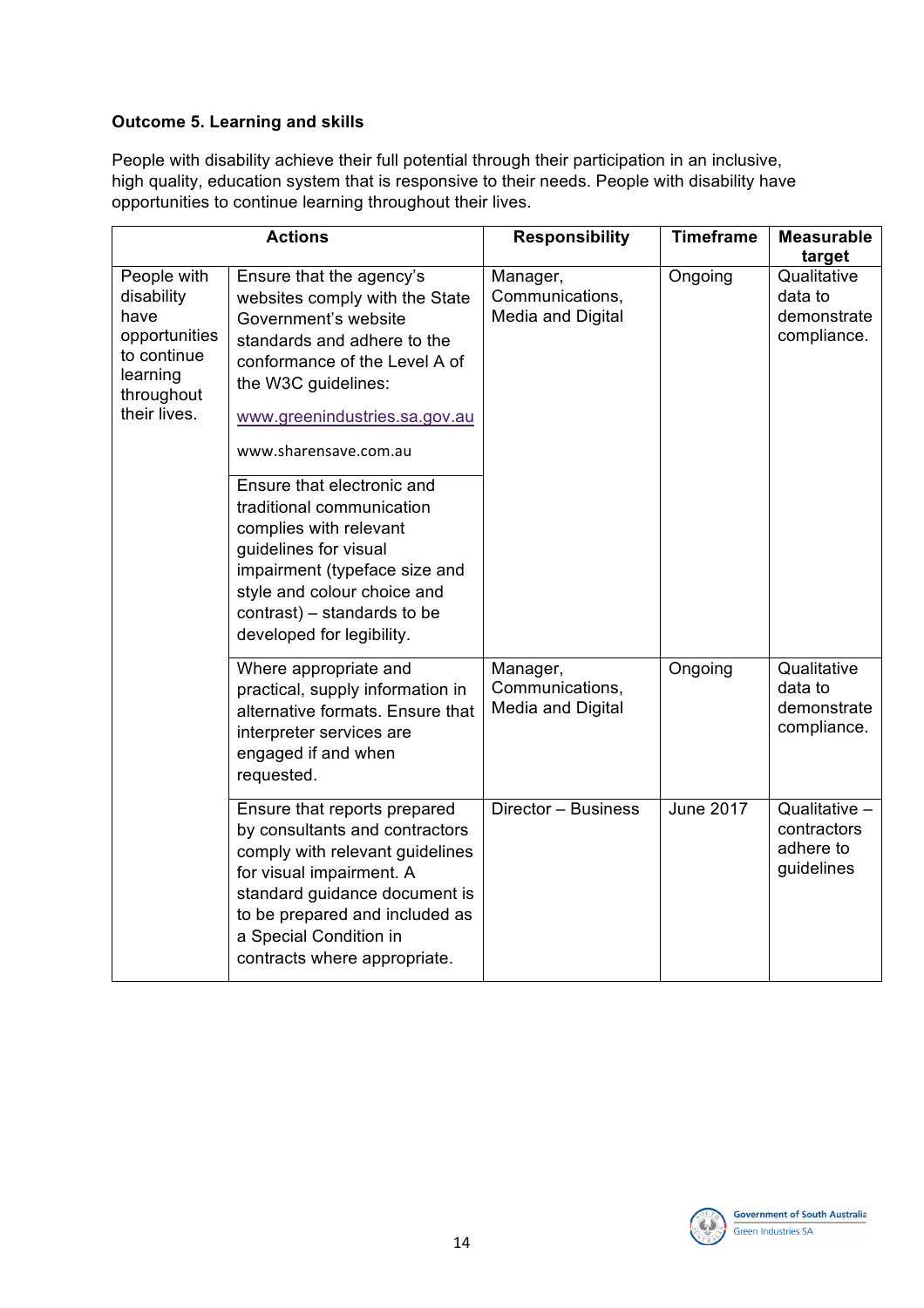## **Outcome 5. Learning and skills**

People with disability achieve their full potential through their participation in an inclusive, high quality, education system that is responsive to their needs. People with disability have opportunities to continue learning throughout their lives.

|                                                                                                             | <b>Actions</b>                                                                                                                                                                                                                                                                                                                                                                                                                                                                | <b>Responsibility</b>                            | <b>Timeframe</b> | <b>Measurable</b><br>target                             |
|-------------------------------------------------------------------------------------------------------------|-------------------------------------------------------------------------------------------------------------------------------------------------------------------------------------------------------------------------------------------------------------------------------------------------------------------------------------------------------------------------------------------------------------------------------------------------------------------------------|--------------------------------------------------|------------------|---------------------------------------------------------|
| People with<br>disability<br>have<br>opportunities<br>to continue<br>learning<br>throughout<br>their lives. | Ensure that the agency's<br>websites comply with the State<br>Government's website<br>standards and adhere to the<br>conformance of the Level A of<br>the W3C guidelines:<br>www.greenindustries.sa.gov.au<br>www.sharensave.com.au<br>Ensure that electronic and<br>traditional communication<br>complies with relevant<br>guidelines for visual<br>impairment (typeface size and<br>style and colour choice and<br>contrast) – standards to be<br>developed for legibility. | Manager,<br>Communications,<br>Media and Digital | Ongoing          | Qualitative<br>data to<br>demonstrate<br>compliance.    |
|                                                                                                             | Where appropriate and<br>practical, supply information in<br>alternative formats. Ensure that<br>interpreter services are<br>engaged if and when<br>requested.                                                                                                                                                                                                                                                                                                                | Manager,<br>Communications,<br>Media and Digital | Ongoing          | Qualitative<br>data to<br>demonstrate<br>compliance.    |
|                                                                                                             | Ensure that reports prepared<br>by consultants and contractors<br>comply with relevant guidelines<br>for visual impairment. A<br>standard guidance document is<br>to be prepared and included as<br>a Special Condition in<br>contracts where appropriate.                                                                                                                                                                                                                    | Director - Business                              | <b>June 2017</b> | Qualitative -<br>contractors<br>adhere to<br>guidelines |